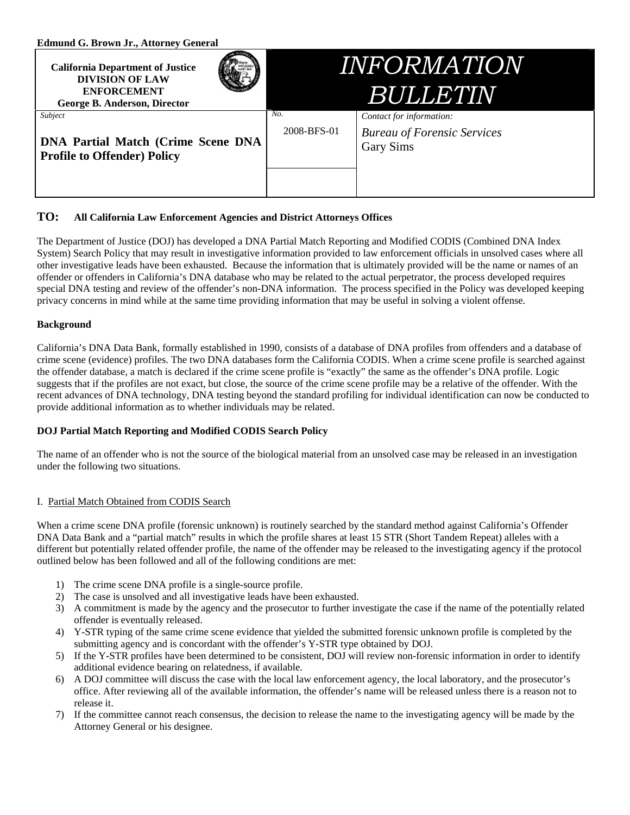| <b>Edmund G. Brown Jr., Attorney General</b> |
|----------------------------------------------|
|----------------------------------------------|

| <b>California Department of Justice</b><br><b>DIVISION OF LAW</b><br><b>ENFORCEMENT</b><br>George B. Anderson, Director | <i>INFORMATIÓN</i><br><b>BULLETIN</b> |                                                                                    |
|-------------------------------------------------------------------------------------------------------------------------|---------------------------------------|------------------------------------------------------------------------------------|
| Subject<br><b>DNA Partial Match (Crime Scene DNA)</b><br><b>Profile to Offender) Policy</b>                             | No.<br>2008-BFS-01                    | Contact for information:<br><b>Bureau of Forensic Services</b><br><b>Gary Sims</b> |

# **TO: All California Law Enforcement Agencies and District Attorneys Offices**

The Department of Justice (DOJ) has developed a DNA Partial Match Reporting and Modified CODIS (Combined DNA Index System) Search Policy that may result in investigative information provided to law enforcement officials in unsolved cases where all other investigative leads have been exhausted. Because the information that is ultimately provided will be the name or names of an offender or offenders in California's DNA database who may be related to the actual perpetrator, the process developed requires special DNA testing and review of the offender's non-DNA information. The process specified in the Policy was developed keeping privacy concerns in mind while at the same time providing information that may be useful in solving a violent offense.

## **Background**

California's DNA Data Bank, formally established in 1990, consists of a database of DNA profiles from offenders and a database of crime scene (evidence) profiles. The two DNA databases form the California CODIS. When a crime scene profile is searched against the offender database, a match is declared if the crime scene profile is "exactly" the same as the offender's DNA profile. Logic suggests that if the profiles are not exact, but close, the source of the crime scene profile may be a relative of the offender. With the recent advances of DNA technology, DNA testing beyond the standard profiling for individual identification can now be conducted to provide additional information as to whether individuals may be related.

## **DOJ Partial Match Reporting and Modified CODIS Search Policy**

The name of an offender who is not the source of the biological material from an unsolved case may be released in an investigation under the following two situations.

## I. Partial Match Obtained from CODIS Search

When a crime scene DNA profile (forensic unknown) is routinely searched by the standard method against California's Offender DNA Data Bank and a "partial match" results in which the profile shares at least 15 STR (Short Tandem Repeat) alleles with a different but potentially related offender profile, the name of the offender may be released to the investigating agency if the protocol outlined below has been followed and all of the following conditions are met:

- 1) The crime scene DNA profile is a single-source profile.
- 2) The case is unsolved and all investigative leads have been exhausted.
- 3) A commitment is made by the agency and the prosecutor to further investigate the case if the name of the potentially related offender is eventually released.
- 4) Y-STR typing of the same crime scene evidence that yielded the submitted forensic unknown profile is completed by the submitting agency and is concordant with the offender's Y-STR type obtained by DOJ.
- 5) If the Y-STR profiles have been determined to be consistent, DOJ will review non-forensic information in order to identify additional evidence bearing on relatedness, if available.
- 6) A DOJ committee will discuss the case with the local law enforcement agency, the local laboratory, and the prosecutor's office. After reviewing all of the available information, the offender's name will be released unless there is a reason not to release it.
- 7) If the committee cannot reach consensus, the decision to release the name to the investigating agency will be made by the Attorney General or his designee.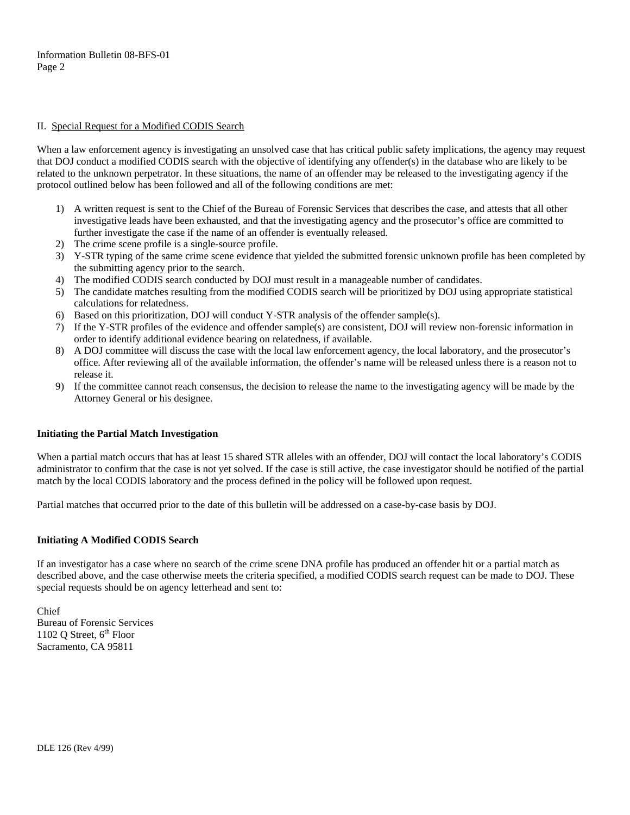### II. Special Request for a Modified CODIS Search

When a law enforcement agency is investigating an unsolved case that has critical public safety implications, the agency may request that DOJ conduct a modified CODIS search with the objective of identifying any offender(s) in the database who are likely to be related to the unknown perpetrator. In these situations, the name of an offender may be released to the investigating agency if the protocol outlined below has been followed and all of the following conditions are met:

- 1) A written request is sent to the Chief of the Bureau of Forensic Services that describes the case, and attests that all other investigative leads have been exhausted, and that the investigating agency and the prosecutor's office are committed to further investigate the case if the name of an offender is eventually released.
- 2) The crime scene profile is a single-source profile.
- 3) Y-STR typing of the same crime scene evidence that yielded the submitted forensic unknown profile has been completed by the submitting agency prior to the search.
- 4) The modified CODIS search conducted by DOJ must result in a manageable number of candidates.
- 5) The candidate matches resulting from the modified CODIS search will be prioritized by DOJ using appropriate statistical calculations for relatedness.
- 6) Based on this prioritization, DOJ will conduct Y-STR analysis of the offender sample(s).
- 7) If the Y-STR profiles of the evidence and offender sample(s) are consistent, DOJ will review non-forensic information in order to identify additional evidence bearing on relatedness, if available.
- 8) A DOJ committee will discuss the case with the local law enforcement agency, the local laboratory, and the prosecutor's office. After reviewing all of the available information, the offender's name will be released unless there is a reason not to release it.
- 9) If the committee cannot reach consensus, the decision to release the name to the investigating agency will be made by the Attorney General or his designee.

### **Initiating the Partial Match Investigation**

When a partial match occurs that has at least 15 shared STR alleles with an offender, DOJ will contact the local laboratory's CODIS administrator to confirm that the case is not yet solved. If the case is still active, the case investigator should be notified of the partial match by the local CODIS laboratory and the process defined in the policy will be followed upon request.

Partial matches that occurred prior to the date of this bulletin will be addressed on a case-by-case basis by DOJ.

### **Initiating A Modified CODIS Search**

If an investigator has a case where no search of the crime scene DNA profile has produced an offender hit or a partial match as described above, and the case otherwise meets the criteria specified, a modified CODIS search request can be made to DOJ. These special requests should be on agency letterhead and sent to:

Chief Bureau of Forensic Services 1102 Q Street,  $6<sup>th</sup>$  Floor Sacramento, CA 95811